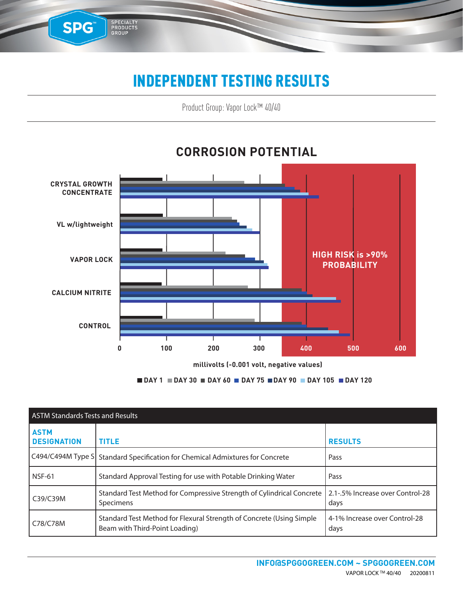#### INDEPENDENT TESTING RESULTS

SPG™

SPECIALTY<br>PRODUCTS<br>GROUP

Product Group: Vapor Lock™ 40/40



#### **CORROSION POTENTIAL**

**DAY 1 DAY 30 DAY 60 DAY 75 DAY 90 DAY 105 DAY 120**

| <b>ASTM Standards Tests and Results</b> |                                                                                                        |                                          |  |  |  |
|-----------------------------------------|--------------------------------------------------------------------------------------------------------|------------------------------------------|--|--|--|
| <b>ASTM</b><br><b>DESIGNATION</b>       | <b>TITLE</b>                                                                                           | <b>RESULTS</b>                           |  |  |  |
|                                         | C494/C494M Type S Standard Specification for Chemical Admixtures for Concrete                          | Pass                                     |  |  |  |
| <b>NSF-61</b>                           | Standard Approval Testing for use with Potable Drinking Water                                          | Pass                                     |  |  |  |
| C39/C39M                                | Standard Test Method for Compressive Strength of Cylindrical Concrete<br>Specimens                     | 2.1-.5% Increase over Control-28<br>days |  |  |  |
| C78/C78M                                | Standard Test Method for Flexural Strength of Concrete (Using Simple<br>Beam with Third-Point Loading) | 4-1% Increase over Control-28<br>days    |  |  |  |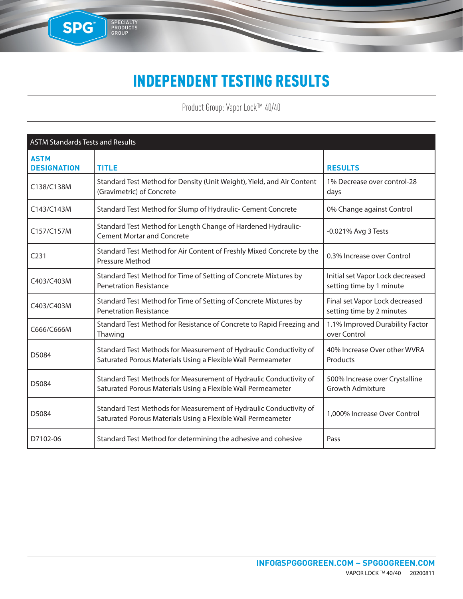#### INDEPENDENT TESTING RESULTS

SPG

SPECIALTY<br>PRODUCTS<br>GROUP

Product Group: Vapor Lock™ 40/40

| <b>ASTM Standards Tests and Results</b> |                                                                                                                                    |                                                              |  |  |  |  |
|-----------------------------------------|------------------------------------------------------------------------------------------------------------------------------------|--------------------------------------------------------------|--|--|--|--|
| <b>ASTM</b><br><b>DESIGNATION</b>       | <b>TITLE</b>                                                                                                                       | <b>RESULTS</b>                                               |  |  |  |  |
| C138/C138M                              | Standard Test Method for Density (Unit Weight), Yield, and Air Content<br>(Gravimetric) of Concrete                                | 1% Decrease over control-28<br>days                          |  |  |  |  |
| C143/C143M                              | Standard Test Method for Slump of Hydraulic- Cement Concrete                                                                       | 0% Change against Control                                    |  |  |  |  |
| C157/C157M                              | Standard Test Method for Length Change of Hardened Hydraulic-<br><b>Cement Mortar and Concrete</b>                                 | -0.021% Avg 3 Tests                                          |  |  |  |  |
| C <sub>231</sub>                        | Standard Test Method for Air Content of Freshly Mixed Concrete by the<br>Pressure Method                                           | 0.3% Increase over Control                                   |  |  |  |  |
| C403/C403M                              | Standard Test Method for Time of Setting of Concrete Mixtures by<br><b>Penetration Resistance</b>                                  | Initial set Vapor Lock decreased<br>setting time by 1 minute |  |  |  |  |
| C403/C403M                              | Standard Test Method for Time of Setting of Concrete Mixtures by<br><b>Penetration Resistance</b>                                  | Final set Vapor Lock decreased<br>setting time by 2 minutes  |  |  |  |  |
| C666/C666M                              | Standard Test Method for Resistance of Concrete to Rapid Freezing and<br>Thawing                                                   | 1.1% Improved Durability Factor<br>over Control              |  |  |  |  |
| D5084                                   | Standard Test Methods for Measurement of Hydraulic Conductivity of<br>Saturated Porous Materials Using a Flexible Wall Permeameter | 40% Increase Over other WVRA<br>Products                     |  |  |  |  |
| D5084                                   | Standard Test Methods for Measurement of Hydraulic Conductivity of<br>Saturated Porous Materials Using a Flexible Wall Permeameter | 500% Increase over Crystalline<br><b>Growth Admixture</b>    |  |  |  |  |
| D5084                                   | Standard Test Methods for Measurement of Hydraulic Conductivity of<br>Saturated Porous Materials Using a Flexible Wall Permeameter | 1,000% Increase Over Control                                 |  |  |  |  |
| D7102-06                                | Standard Test Method for determining the adhesive and cohesive                                                                     | Pass                                                         |  |  |  |  |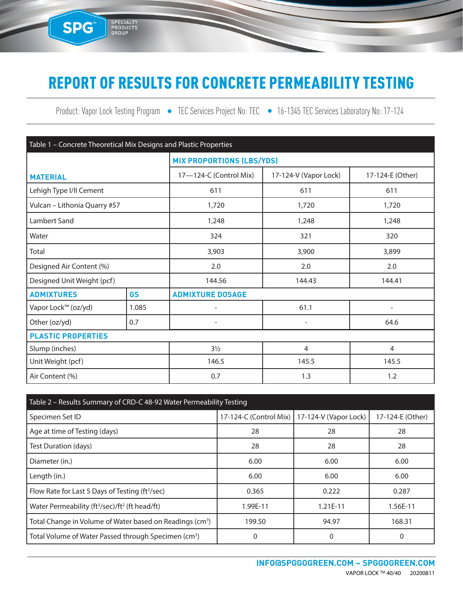## REPORT OF RESULTS FOR CONCRETE PERMEABILITY TESTING

SPG<sup>®</sup>

SPECIALTY<br>PRODUCTS<br>GROUP

Product: Vapor Lock Testing Program • TEC Services Project No: TEC • 16-1345 TEC Services Laboratory No: 17-124

| Table 1 - Concrete Theoretical Mix Designs and Plastic Properties |           |                            |                                  |                          |  |  |
|-------------------------------------------------------------------|-----------|----------------------------|----------------------------------|--------------------------|--|--|
|                                                                   |           |                            | <b>MIX PROPORTIONS (LBS/YDS)</b> |                          |  |  |
| <b>MATERIAL</b>                                                   |           | 17-124-C (Control Mix)     | 17-124-V (Vapor Lock)            | 17-124-E (Other)         |  |  |
| Lehigh Type I/II Cement                                           |           | 611                        | 611                              | 611                      |  |  |
| Vulcan - Lithonia Quarry #57                                      |           | 1,720                      | 1,720                            | 1,720                    |  |  |
| Lambert Sand                                                      |           | 1,248                      | 1,248                            | 1,248                    |  |  |
| Water                                                             |           | 324                        | 321                              | 320                      |  |  |
| Total                                                             |           | 3,900<br>3,903             |                                  | 3,899                    |  |  |
| Designed Air Content (%)                                          |           | 2.0                        | 2.0                              | 2.0                      |  |  |
| Designed Unit Weight (pcf)                                        |           | 144.56<br>144.43<br>144.41 |                                  |                          |  |  |
| <b>ADMIXTURES</b>                                                 | <b>GS</b> | <b>ADMIXTURE DOSAGE</b>    |                                  |                          |  |  |
| Vapor Lock™ (oz/yd)                                               | 1.085     |                            | 61.1                             | $\overline{\phantom{0}}$ |  |  |
| Other (oz/yd)                                                     | 0.7       | $\overline{\phantom{0}}$   | $\overline{\phantom{a}}$         | 64.6                     |  |  |
| <b>PLASTIC PROPERTIES</b>                                         |           |                            |                                  |                          |  |  |
| Slump (inches)                                                    |           | $3\frac{1}{2}$             | $\overline{4}$                   | $\overline{4}$           |  |  |
| Unit Weight (pcf)                                                 |           | 146.5<br>145.5             |                                  | 145.5                    |  |  |
| Air Content (%)                                                   |           | 0.7                        | 1.3                              | 1.2                      |  |  |

| Table 2 - Results Summary of CRD-C 48-92 Water Permeability Testing    |                                                |            |                  |  |  |  |
|------------------------------------------------------------------------|------------------------------------------------|------------|------------------|--|--|--|
| Specimen Set ID                                                        | 17-124-C (Control Mix)   17-124-V (Vapor Lock) |            | 17-124-E (Other) |  |  |  |
| Age at time of Testing (days)                                          | 28                                             | 28         | 28               |  |  |  |
| Test Duration (days)                                                   | 28                                             | 28         | 28               |  |  |  |
| Diameter (in.)                                                         | 6.00                                           | 6.00       | 6.00             |  |  |  |
| Length (in.)                                                           | 6.00                                           | 6.00       | 6.00             |  |  |  |
| Flow Rate for Last 5 Days of Testing (ft <sup>3</sup> /sec)            | 0.365                                          | 0.222      | 0.287            |  |  |  |
| Water Permeability (ft <sup>3</sup> /sec)/ft <sup>2</sup> (ft head/ft) | 1.99E-11                                       | $1.21E-11$ | 1.56E-11         |  |  |  |
| Total Change in Volume of Water based on Readings (cm <sup>3</sup> )   | 199.50                                         | 94.97      | 168.31           |  |  |  |
| Total Volume of Water Passed through Specimen (cm <sup>3</sup> )       |                                                | 0          | 0                |  |  |  |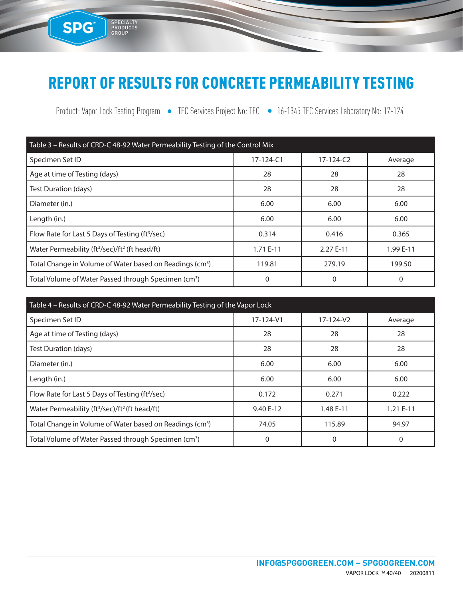### REPORT OF RESULTS FOR CONCRETE PERMEABILITY TESTING

SPG<sup>™</sup>

SPECIALTY<br>PRODUCTS<br>GROUP

Product: Vapor Lock Testing Program • TEC Services Project No: TEC • 16-1345 TEC Services Laboratory No: 17-124

| Table 3 - Results of CRD-C 48-92 Water Permeability Testing of the Control Mix |                 |                 |           |  |  |  |
|--------------------------------------------------------------------------------|-----------------|-----------------|-----------|--|--|--|
| Specimen Set ID                                                                | $17 - 124 - C1$ | $17 - 124 - C2$ | Average   |  |  |  |
| Age at time of Testing (days)                                                  | 28              | 28              | 28        |  |  |  |
| Test Duration (days)                                                           | 28              | 28              | 28        |  |  |  |
| Diameter (in.)                                                                 | 6.00            | 6.00            | 6.00      |  |  |  |
| Length (in.)                                                                   | 6.00            | 6.00            | 6.00      |  |  |  |
| Flow Rate for Last 5 Days of Testing (ft <sup>3</sup> /sec)                    | 0.314           | 0.416           | 0.365     |  |  |  |
| Water Permeability (ft <sup>3</sup> /sec)/ft <sup>2</sup> (ft head/ft)         | 1.71 E-11       | 2.27 E-11       | 1.99 E-11 |  |  |  |
| Total Change in Volume of Water based on Readings (cm <sup>3</sup> )           | 119.81          | 279.19          | 199.50    |  |  |  |
| Total Volume of Water Passed through Specimen (cm <sup>3</sup> )               | 0               | 0               | 0         |  |  |  |

| Table 4 - Results of CRD-C 48-92 Water Permeability Testing of the Vapor Lock |           |           |            |  |  |  |
|-------------------------------------------------------------------------------|-----------|-----------|------------|--|--|--|
| Specimen Set ID                                                               | 17-124-V1 | 17-124-V2 | Average    |  |  |  |
| Age at time of Testing (days)                                                 | 28        | 28        | 28         |  |  |  |
| Test Duration (days)                                                          | 28        | 28        | 28         |  |  |  |
| Diameter (in.)                                                                | 6.00      | 6.00      | 6.00       |  |  |  |
| Length (in.)                                                                  | 6.00      | 6.00      | 6.00       |  |  |  |
| Flow Rate for Last 5 Days of Testing (ft <sup>3</sup> /sec)                   | 0.172     | 0.271     | 0.222      |  |  |  |
| Water Permeability (ft <sup>3</sup> /sec)/ft <sup>2</sup> (ft head/ft)        | 9.40 E-12 | 1.48 E-11 | $1.21E-11$ |  |  |  |
| Total Change in Volume of Water based on Readings (cm <sup>3</sup> )          | 74.05     | 115.89    | 94.97      |  |  |  |
| Total Volume of Water Passed through Specimen (cm <sup>3</sup> )              | 0         | 0         | 0          |  |  |  |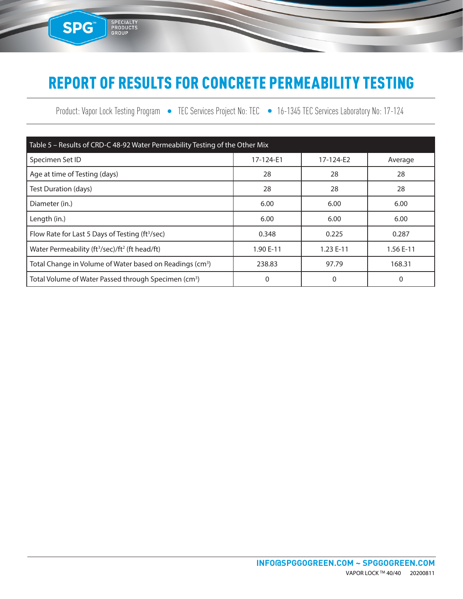# REPORT OF RESULTS FOR CONCRETE PERMEABILITY TESTING

SPG<sup>™</sup>

SPECIALTY<br>PRODUCTS<br>GROUP

Product: Vapor Lock Testing Program • TEC Services Project No: TEC • 16-1345 TEC Services Laboratory No: 17-124

| Table 5 - Results of CRD-C 48-92 Water Permeability Testing of the Other Mix |           |           |           |  |  |  |
|------------------------------------------------------------------------------|-----------|-----------|-----------|--|--|--|
| Specimen Set ID                                                              | 17-124-E1 | 17-124-E2 | Average   |  |  |  |
| Age at time of Testing (days)                                                | 28        | 28        | 28        |  |  |  |
| Test Duration (days)                                                         | 28        | 28        | 28        |  |  |  |
| Diameter (in.)                                                               | 6.00      | 6.00      | 6.00      |  |  |  |
| Length (in.)                                                                 | 6.00      | 6.00      | 6.00      |  |  |  |
| Flow Rate for Last 5 Days of Testing (ft <sup>3</sup> /sec)                  | 0.348     | 0.225     | 0.287     |  |  |  |
| Water Permeability (ft <sup>3</sup> /sec)/ft <sup>2</sup> (ft head/ft)       | 1.90 E-11 | 1.23 E-11 | 1.56 E-11 |  |  |  |
| Total Change in Volume of Water based on Readings (cm <sup>3</sup> )         | 238.83    | 97.79     | 168.31    |  |  |  |
| Total Volume of Water Passed through Specimen (cm <sup>3</sup> )             | 0         | 0         | 0         |  |  |  |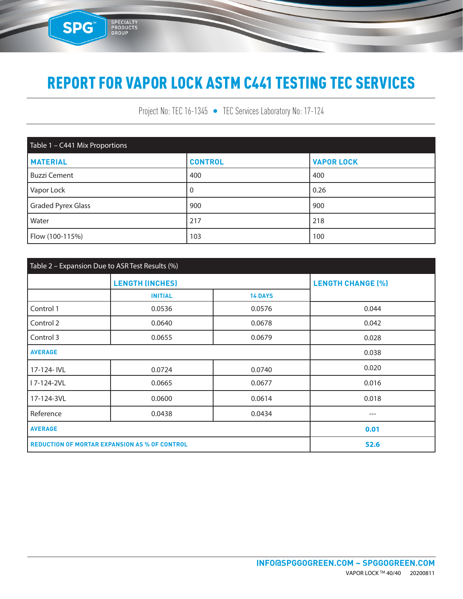SPG

SPECIALTY<br>PRODUCTS<br>GROUP

Project No: TEC 16-1345 • TEC Services Laboratory No: 17-124

| Table 1 - C441 Mix Proportions |                |                   |  |  |  |
|--------------------------------|----------------|-------------------|--|--|--|
| <b>MATERIAL</b>                | <b>CONTROL</b> | <b>VAPOR LOCK</b> |  |  |  |
| <b>Buzzi Cement</b>            | 400            | 400               |  |  |  |
| Vapor Lock                     | 0              | 0.26              |  |  |  |
| <b>Graded Pyrex Glass</b>      | 900            | 900               |  |  |  |
| Water                          | 217            | 218               |  |  |  |
| Flow (100-115%)                | 103            | 100               |  |  |  |

| Table 2 - Expansion Due to ASR Test Results (%)      |                        |                |                          |  |  |
|------------------------------------------------------|------------------------|----------------|--------------------------|--|--|
|                                                      | <b>LENGTH (INCHES)</b> |                | <b>LENGTH CHANGE (%)</b> |  |  |
|                                                      | <b>INITIAL</b>         | <b>14 DAYS</b> |                          |  |  |
| Control 1                                            | 0.0536                 | 0.0576         | 0.044                    |  |  |
| Control 2                                            | 0.0640                 | 0.0678         | 0.042                    |  |  |
| Control 3                                            | 0.0655                 | 0.0679         | 0.028                    |  |  |
| <b>AVERAGE</b>                                       |                        | 0.038          |                          |  |  |
| 17-124- IVL                                          | 0.0724                 | 0.0740         | 0.020                    |  |  |
| I 7-124-2VL                                          | 0.0665                 | 0.0677         | 0.016                    |  |  |
| 17-124-3VL                                           | 0.0600                 | 0.0614         | 0.018                    |  |  |
| Reference                                            | 0.0438                 | 0.0434         | $---$                    |  |  |
| <b>AVERAGE</b>                                       |                        |                | 0.01                     |  |  |
| <b>REDUCTION OF MORTAR EXPANSION AS % OF CONTROL</b> |                        |                | 52.6                     |  |  |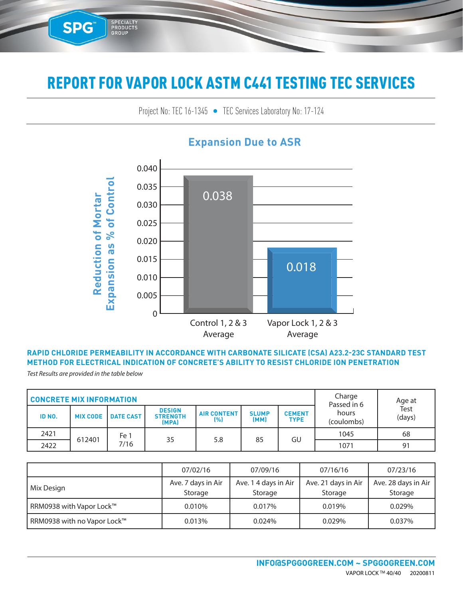Project No: TEC 16-1345 • TEC Services Laboratory No: 17-124 TEC SENICES LADORATORY NO: 17-124



#### **Expansion Due to ASR**

#### **RAPID CHLORIDE PERMEABILITY IN ACCORDANCE WITH CARBONATE SILICATE (CSA) A23.2-23C STANDARD TEST METHOD FOR ELECTRICAL INDICATION OF CONCRETE'S ABILITY TO RESIST CHLORIDE ION PENETRATION**

*Test Results are provided in the table below*

SPG™

3E-09

5E-09

SPECIALTY<br>PRODUCTS<br>GROUP

6E-09

| <b>CONCRETE MIX INFORMATION</b> |                 |                  |                                           |                           | Charge<br>Passed in 6 | Age at                       |                     |                |
|---------------------------------|-----------------|------------------|-------------------------------------------|---------------------------|-----------------------|------------------------------|---------------------|----------------|
| ID NO.                          | <b>MIX CODE</b> | <b>DATE CAST</b> | <b>DESIGN</b><br><b>STRENGTH</b><br>(MPA) | <b>AIR CONTENT</b><br>[%] | <b>SLUMP</b><br>(MM)  | <b>CEMENT</b><br><b>TYPE</b> | hours<br>(coulombs) | Test<br>(days) |
| 2421                            |                 | Fe 1             |                                           |                           |                       |                              | 1045                | 68             |
| 2422                            | 612401          | 7/16             | 35                                        | 5.8                       | 85                    | GU                           | 1071                | 91             |

|                             | 07/02/16                      | 07/09/16                        | 07/16/16                       | 07/23/16                       |
|-----------------------------|-------------------------------|---------------------------------|--------------------------------|--------------------------------|
| Mix Design                  | Ave. 7 days in Air<br>Storage | Ave. 1 4 days in Air<br>Storage | Ave. 21 days in Air<br>Storage | Ave. 28 days in Air<br>Storage |
| RRM0938 with Vapor Lock™    | 0.010%                        | 0.017%                          | 0.019%                         | 0.029%                         |
| RRM0938 with no Vapor Lock™ | 0.013%                        | 0.024%                          | 0.029%                         | 0.037%                         |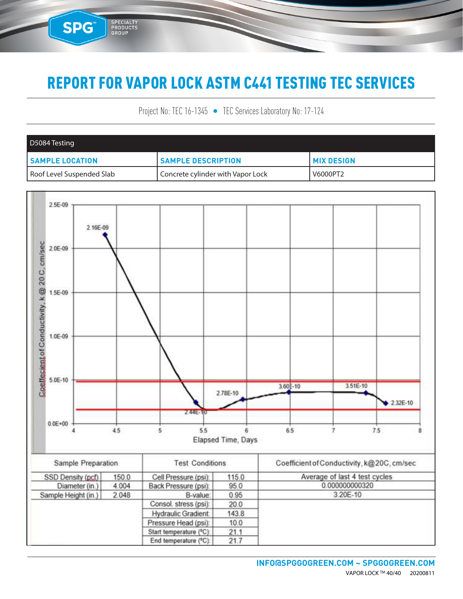SPG™

SPECIALTY<br>PRODUCTS<br>GROUP

Project No: TEC 16-1345 • TEC Services Laboratory No: 17-124

| D5084 Testing             |                                   |                   |
|---------------------------|-----------------------------------|-------------------|
| <b>SAMPLE LOCATION</b>    | <b>SAMPLE DESCRIPTION</b>         | <b>MIX DESIGN</b> |
| Roof Level Suspended Slab | Concrete cylinder with Vapor Lock | V6000PT2          |

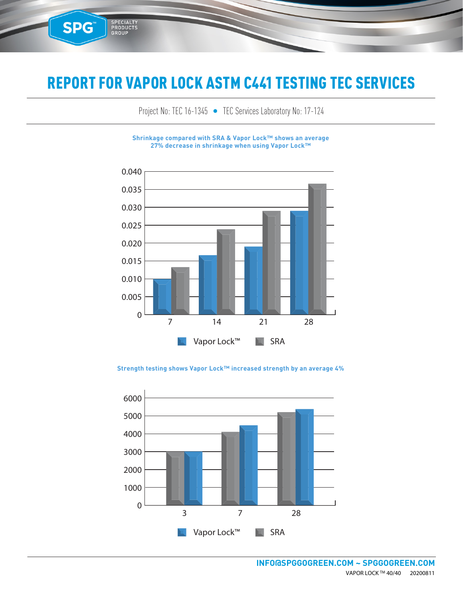**SPG™** 

SPECIALTY<br>PRODUCTS<br>GROUP

Project No: TEC 16-1345 • TEC Services Laboratory No: 17-124

**Shrinkage compared with SRA & Vapor Lock™ shows an average 27% decrease in shrinkage when using Vapor Lock™**



0.040 **Strength testing shows Vapor Lock™ increased strength by an average 4%**